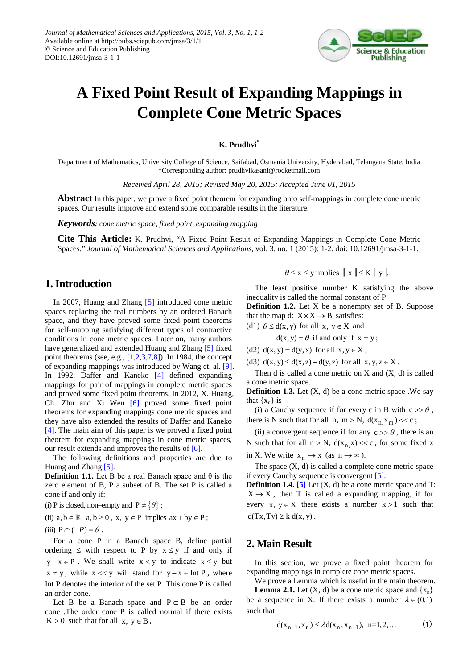

# **A Fixed Point Result of Expanding Mappings in Complete Cone Metric Spaces**

#### **K. Prudhvi\***

Department of Mathematics, University College of Science, Saifabad, Osmania University, Hyderabad, Telangana State, India \*Corresponding author: prudhvikasani@rocketmail.com

*Received April 28, 2015; Revised May 20, 2015; Accepted June 01, 2015*

**Abstract** In this paper, we prove a fixed point theorem for expanding onto self-mappings in complete cone metric spaces. Our results improve and extend some comparable results in the literature.

*Keywords: cone metric space, fixed point, expanding mapping*

**Cite This Article:** K. Prudhvi, "A Fixed Point Result of Expanding Mappings in Complete Cone Metric Spaces." *Journal of Mathematical Sciences and Applications*, vol. 3, no. 1 (2015): 1-2. doi: 10.12691/jmsa-3-1-1.

### **1. Introduction**

In 2007, Huang and Zhang [\[5\]](#page-1-0) introduced cone metric spaces replacing the real numbers by an ordered Banach space, and they have proved some fixed point theorems for self-mapping satisfying different types of contractive conditions in cone metric spaces. Later on, many authors have generalized and extended Huang and Zhang [\[5\]](#page-1-0) fixed point theorems (see, e.g., [\[1,2,3,7,8\]\)](#page-1-1). In 1984, the concept of expanding mappings was introduced by Wang et. al. [\[9\].](#page-1-2) In 1992, Daffer and Kaneko [\[4\]](#page-1-3) defined expanding mappings for pair of mappings in complete metric spaces and proved some fixed point theorems. In 2012, X. Huang, Ch. Zhu and Xi Wen [\[6\]](#page-1-4) proved some fixed point theorems for expanding mappings cone metric spaces and they have also extended the results of Daffer and Kaneko [\[4\].](#page-1-3) The main aim of this paper is we proved a fixed point theorem for expanding mappings in cone metric spaces, our result extends and improves the results of [\[6\].](#page-1-4)

The following definitions and properties are due to Huang and Zhang [\[5\].](#page-1-0) 

**Definition 1.1.** Let B be a real Banach space and  $\theta$  is the zero element of B, P a subset of B. The set P is called a cone if and only if:

(i) P is closed, non–empty and  $P \neq \{ \theta \}$ ;

(ii)  $a, b \in \mathbb{R}$ ,  $a, b \ge 0$ ,  $x, y \in P$  implies  $ax + by \in P$ ;

(iii) 
$$
P \cap (-P) = \theta
$$
.

For a cone P in a Banach space B, define partial ordering  $\leq$  with respect to P by  $x \leq y$  if and only if  $y - x \in P$ . We shall write  $x < y$  to indicate  $x \le y$  but  $x \neq y$ , while  $x \ll y$  will stand for  $y - x \in \text{Int } P$ , where Int P denotes the interior of the set P. This cone P is called an order cone.

Let B be a Banach space and  $P \subset B$  be an order cone .The order cone P is called normal if there exists  $K > 0$  such that for all  $x, y \in B$ ,

$$
\theta \le x \le y
$$
 implies  $\|x\| \le K \|y\|$ .

The least positive number K satisfying the above inequality is called the normal constant of P.

**Definition 1.2.** Let X be a nonempty set of B. Suppose that the map d:  $X \times X \rightarrow B$  satisfies:

(d1)  $\theta \leq d(x, y)$  for all  $x, y \in X$  and

$$
d(x, y) = \theta \text{ if and only if } x = y;
$$

(d2)  $d(x, y) = d(y, x)$  for all  $x, y \in X$ ;

(d3)  $d(x, y) \leq d(x, z) + d(y, z)$  for all  $x, y, z \in X$ .

Then d is called a cone metric on  $X$  and  $(X, d)$  is called a cone metric space.

**Definition 1.3.** Let (X, d) be a cone metric space .We say that  $\{x_n\}$  is

(i) a Cauchy sequence if for every c in B with  $c \gg \theta$ , there is N such that for all n, m > N,  $d(x_n, x_m)$  << c;

(ii) a convergent sequence if for any  $c \gg \theta$ , there is an N such that for all  $n > N$ ,  $d(x_n, x) \ll c$ , for some fixed x in X. We write  $x_n \to x$  (as  $n \to \infty$ ).

The space  $(X, d)$  is called a complete cone metric space if every Cauchy sequence is convergent [\[5\].](#page-1-0)

**Definition 1.4. [\[5\]](#page-1-0)** Let (X, d) be a cone metric space and T:  $X \rightarrow X$ , then T is called a expanding mapping, if for every x,  $y \in X$  there exists a number  $k > 1$  such that  $d(Tx, Ty) \ge k d(x, y)$ .

## **2. Main Result**

In this section, we prove a fixed point theorem for expanding mappings in complete cone metric spaces.

We prove a Lemma which is useful in the main theorem. **Lemma 2.1.** Let  $(X, d)$  be a cone metric space and  $\{x_n\}$ be a sequence in X. If there exists a number  $\lambda \in (0,1)$ such that

$$
d(x_{n+1}, x_n) \le \lambda d(x_n, x_{n-1}), \ n=1, 2, \dots \tag{1}
$$